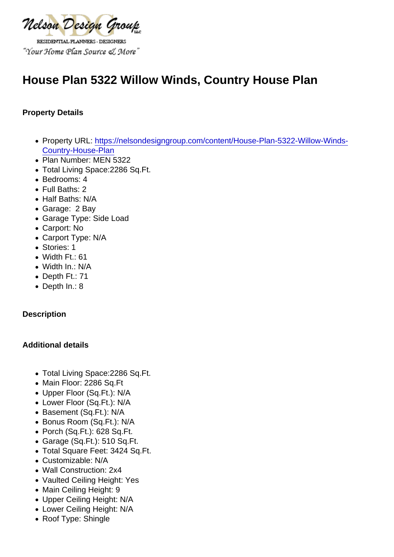# House Plan 5322 Willow Winds, Country House Plan

Property Details

- Property URL: [https://nelsondesigngroup.com/content/House-Plan-5322-Willow-Winds-](https://nelsondesigngroup.com/content/House-Plan-5322-Willow-Winds-Country-House-Plan)[Country-House-Plan](https://nelsondesigngroup.com/content/House-Plan-5322-Willow-Winds-Country-House-Plan)
- Plan Number: MEN 5322
- Total Living Space:2286 Sq.Ft.
- Bedrooms: 4
- Full Baths: 2
- Half Baths: N/A
- Garage: 2 Bay
- Garage Type: Side Load
- Carport: No
- Carport Type: N/A
- Stories: 1
- Width Ft.: 61
- Width In.: N/A
- Depth Ft.: 71
- Depth In.: 8

**Description** 

Additional details

- Total Living Space:2286 Sq.Ft.
- Main Floor: 2286 Sq.Ft
- Upper Floor (Sq.Ft.): N/A
- Lower Floor (Sq.Ft.): N/A
- Basement (Sq.Ft.): N/A
- Bonus Room (Sq.Ft.): N/A
- Porch (Sq.Ft.): 628 Sq.Ft.
- Garage (Sq.Ft.): 510 Sq.Ft.
- Total Square Feet: 3424 Sq.Ft.
- Customizable: N/A
- Wall Construction: 2x4
- Vaulted Ceiling Height: Yes
- Main Ceiling Height: 9
- Upper Ceiling Height: N/A
- Lower Ceiling Height: N/A
- Roof Type: Shingle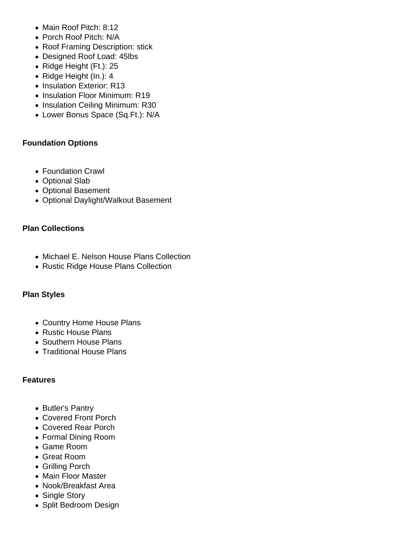- Main Roof Pitch: 8:12
- Porch Roof Pitch: N/A
- Roof Framing Description: stick
- Designed Roof Load: 45lbs
- Ridge Height (Ft.): 25
- Ridge Height (In.): 4
- Insulation Exterior: R13
- Insulation Floor Minimum: R19
- Insulation Ceiling Minimum: R30
- Lower Bonus Space (Sq.Ft.): N/A

## **Foundation Options**

- Foundation Crawl
- Optional Slab
- Optional Basement
- Optional Daylight/Walkout Basement

## **Plan Collections**

- Michael E. Nelson House Plans Collection
- Rustic Ridge House Plans Collection

### **Plan Styles**

- Country Home House Plans
- Rustic House Plans
- Southern House Plans
- Traditional House Plans

### **Features**

- Butler's Pantry
- Covered Front Porch
- Covered Rear Porch
- Formal Dining Room
- Game Room
- Great Room
- Grilling Porch
- Main Floor Master
- Nook/Breakfast Area
- Single Story
- Split Bedroom Design